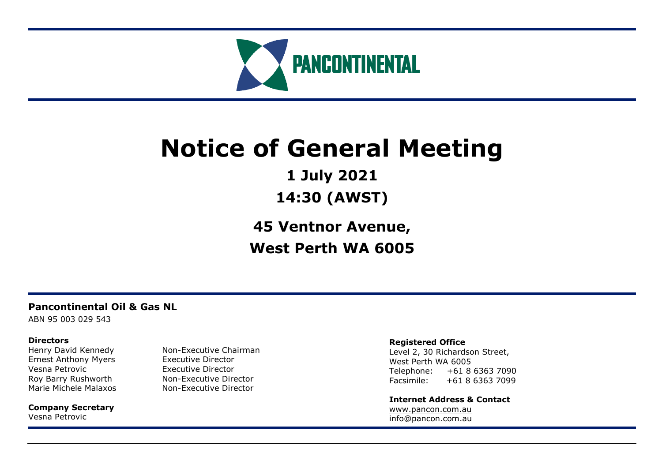

# **Notice of General Meeting**

**1 July 2021**

**14:30 (AWST)**

**45 Ventnor Avenue, West Perth WA 6005**

# **Pancontinental Oil & Gas NL**

ABN 95 003 029 543

# **Directors**

Ernest Anthony Myers Executive Director Vesna Petrovic **Executive Director** 

**Company Secretary** Vesna Petrovic

Henry David Kennedy Non-Executive Chairman Roy Barry Rushworth Non-Executive Director Marie Michele Malaxos Non-Executive Director

# **Registered Office**

Level 2, 30 Richardson Street, West Perth WA 6005 Telephone: +61 8 6363 7090 Facsimile: +61 8 6363 7099

**Internet Address & Contact** [www.pancon.com.au](http://www.pancon.com.au/) info@pancon.com.au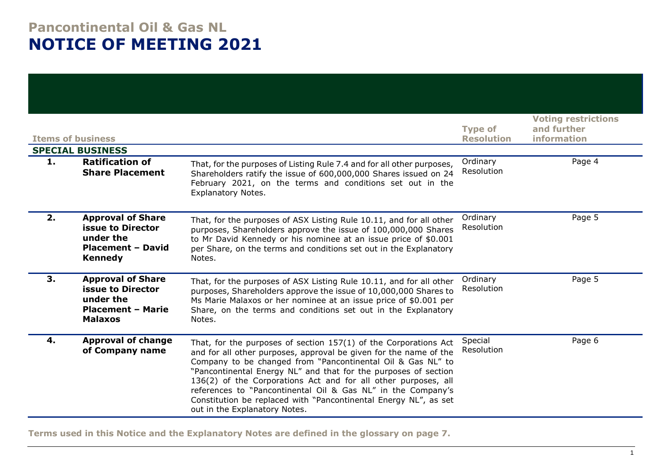# **Pancontinental Oil & Gas NL NOTICE OF MEETING 2021**

| <b>Items of business</b> | <b>SPECIAL BUSINESS</b>                                                                                         | <b>Type of</b><br><b>Resolution</b>                                                                                                                                                                                                                                                                                                                                                                                                                                                                              | <b>Voting restrictions</b><br>and further<br><b>information</b> |        |
|--------------------------|-----------------------------------------------------------------------------------------------------------------|------------------------------------------------------------------------------------------------------------------------------------------------------------------------------------------------------------------------------------------------------------------------------------------------------------------------------------------------------------------------------------------------------------------------------------------------------------------------------------------------------------------|-----------------------------------------------------------------|--------|
| 1.                       | <b>Ratification of</b><br><b>Share Placement</b>                                                                | That, for the purposes of Listing Rule 7.4 and for all other purposes,<br>Shareholders ratify the issue of 600,000,000 Shares issued on 24<br>February 2021, on the terms and conditions set out in the<br><b>Explanatory Notes.</b>                                                                                                                                                                                                                                                                             | Ordinary<br>Resolution                                          | Page 4 |
| 2.                       | <b>Approval of Share</b><br><b>issue to Director</b><br>under the<br><b>Placement - David</b><br><b>Kennedy</b> | That, for the purposes of ASX Listing Rule 10.11, and for all other<br>purposes, Shareholders approve the issue of 100,000,000 Shares<br>to Mr David Kennedy or his nominee at an issue price of \$0.001<br>per Share, on the terms and conditions set out in the Explanatory<br>Notes.                                                                                                                                                                                                                          | Ordinary<br>Resolution                                          | Page 5 |
| 3.                       | <b>Approval of Share</b><br><b>issue to Director</b><br>under the<br><b>Placement - Marie</b><br><b>Malaxos</b> | That, for the purposes of ASX Listing Rule 10.11, and for all other<br>purposes, Shareholders approve the issue of 10,000,000 Shares to<br>Ms Marie Malaxos or her nominee at an issue price of \$0.001 per<br>Share, on the terms and conditions set out in the Explanatory<br>Notes.                                                                                                                                                                                                                           | Ordinary<br>Resolution                                          | Page 5 |
| 4.                       | <b>Approval of change</b><br>of Company name                                                                    | That, for the purposes of section $157(1)$ of the Corporations Act<br>and for all other purposes, approval be given for the name of the<br>Company to be changed from "Pancontinental Oil & Gas NL" to<br>"Pancontinental Energy NL" and that for the purposes of section<br>136(2) of the Corporations Act and for all other purposes, all<br>references to "Pancontinental Oil & Gas NL" in the Company's<br>Constitution be replaced with "Pancontinental Energy NL", as set<br>out in the Explanatory Notes. | Special<br>Resolution                                           | Page 6 |

**Terms used in this Notice and the Explanatory Notes are defined in the glossary on page 7.**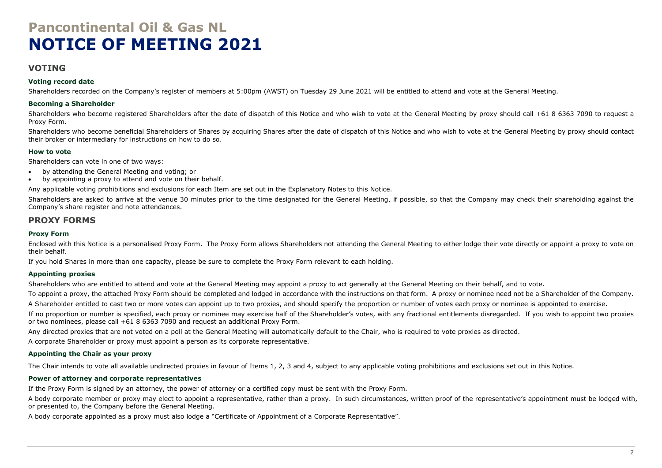# **Pancontinental Oil & Gas NL NOTICE OF MEETING 2021**

# **VOTING**

#### **Voting record date**

Shareholders recorded on the Company's register of members at 5:00pm (AWST) on Tuesday 29 June 2021 will be entitled to attend and vote at the General Meeting.

#### **Becoming a Shareholder**

Shareholders who become registered Shareholders after the date of dispatch of this Notice and who wish to vote at the General Meeting by proxy should call +61 8 6363 7090 to request a Proxy Form.

Shareholders who become beneficial Shareholders of Shares by acquiring Shares after the date of dispatch of this Notice and who wish to vote at the General Meeting by proxy should contact their broker or intermediary for instructions on how to do so.

#### **How to vote**

Shareholders can vote in one of two ways:

- by attending the General Meeting and voting; or
- by appointing a proxy to attend and vote on their behalf.

Any applicable voting prohibitions and exclusions for each Item are set out in the Explanatory Notes to this Notice.

Shareholders are asked to arrive at the venue 30 minutes prior to the time designated for the General Meeting, if possible, so that the Company may check their shareholding against the Company's share register and note attendances.

### **PROXY FORMS**

#### **Proxy Form**

Enclosed with this Notice is a personalised Proxy Form. The Proxy Form allows Shareholders not attending the General Meeting to either lodge their vote directly or appoint a proxy to vote on their behalf.

If you hold Shares in more than one capacity, please be sure to complete the Proxy Form relevant to each holding.

#### **Appointing proxies**

Shareholders who are entitled to attend and vote at the General Meeting may appoint a proxy to act generally at the General Meeting on their behalf, and to vote.

To appoint a proxy, the attached Proxy Form should be completed and lodged in accordance with the instructions on that form. A proxy or nominee need not be a Shareholder of the Company.

A Shareholder entitled to cast two or more votes can appoint up to two proxies, and should specify the proportion or number of votes each proxy or nominee is appointed to exercise.

If no proportion or number is specified, each proxy or nominee may exercise half of the Shareholder's votes, with any fractional entitlements disregarded. If you wish to appoint two proxies or two nominees, please call +61 8 6363 7090 and request an additional Proxy Form.

Any directed proxies that are not voted on a poll at the General Meeting will automatically default to the Chair, who is required to vote proxies as directed.

A corporate Shareholder or proxy must appoint a person as its corporate representative.

#### **Appointing the Chair as your proxy**

The Chair intends to vote all available undirected proxies in favour of Items 1, 2, 3 and 4, subject to any applicable voting prohibitions and exclusions set out in this Notice.

#### **Power of attorney and corporate representatives**

If the Proxy Form is signed by an attorney, the power of attorney or a certified copy must be sent with the Proxy Form.

A body corporate member or proxy may elect to appoint a representative, rather than a proxy. In such circumstances, written proof of the representative's appointment must be lodged with, or presented to, the Company before the General Meeting.

A body corporate appointed as a proxy must also lodge a "Certificate of Appointment of a Corporate Representative".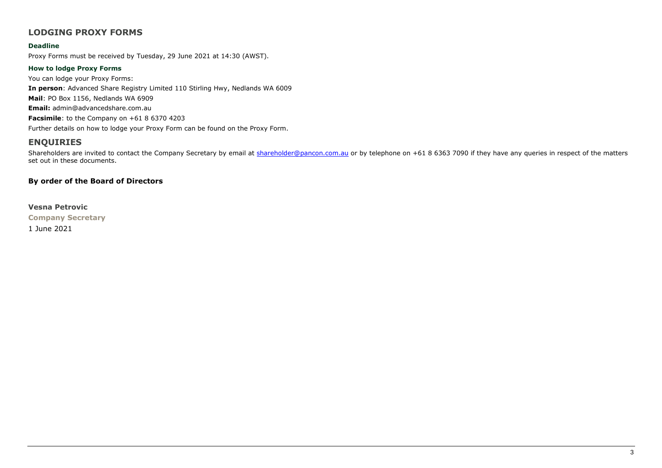# **LODGING PROXY FORMS**

#### **Deadline**

Proxy Forms must be received by Tuesday, 29 June 2021 at 14:30 (AWST).

#### **How to lodge Proxy Forms**

You can lodge your Proxy Forms: **In person**: Advanced Share Registry Limited 110 Stirling Hwy, Nedlands WA 6009 **Mail**: PO Box 1156, Nedlands WA 6909 **Email:** admin@advancedshare.com.au **Facsimile**: to the Company on +61 8 6370 4203 Further details on how to lodge your Proxy Form can be found on the Proxy Form.

# **ENQUIRIES**

Shareholders are invited to contact the Company Secretary by email at [shareholder@pancon.com.au](mailto:shareholder@pancon.com.au) or by telephone on +61 8 6363 7090 if they have any queries in respect of the matters set out in these documents.

### **By order of the Board of Directors**

#### **Vesna Petrovic**

**Company Secretary**

1 June 2021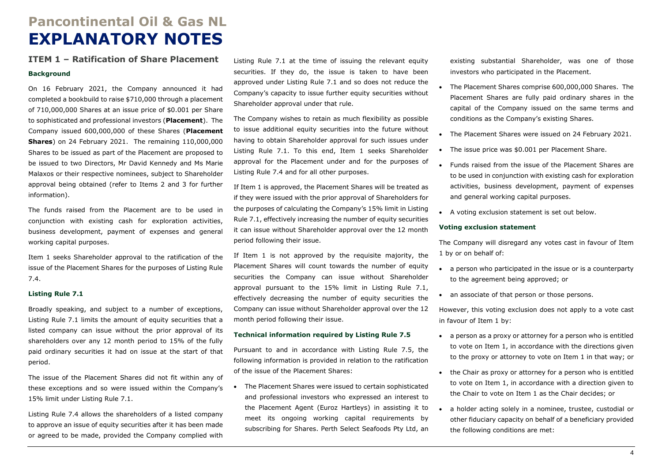# **Pancontinental Oil & Gas NL EXPLANATORY NOTES**

# **ITEM 1 – Ratification of Share Placement Background**

On 16 February 2021, the Company announced it had completed a bookbuild to raise \$710,000 through a placement of 710,000,000 Shares at an issue price of \$0.001 per Share to sophisticated and professional investors (**Placement**). The Company issued 600,000,000 of these Shares (**Placement Shares**) on 24 February 2021. The remaining 110,000,000 Shares to be issued as part of the Placement are proposed to be issued to two Directors, Mr David Kennedy and Ms Marie Malaxos or their respective nominees, subject to Shareholder approval being obtained (refer to Items 2 and 3 for further information).

The funds raised from the Placement are to be used in conjunction with existing cash for exploration activities, business development, payment of expenses and general working capital purposes.

Item 1 seeks Shareholder approval to the ratification of the issue of the Placement Shares for the purposes of Listing Rule 7.4.

#### **Listing Rule 7.1**

Broadly speaking, and subject to a number of exceptions, Listing Rule 7.1 limits the amount of equity securities that a listed company can issue without the prior approval of its shareholders over any 12 month period to 15% of the fully paid ordinary securities it had on issue at the start of that period.

The issue of the Placement Shares did not fit within any of these exceptions and so were issued within the Company's 15% limit under Listing Rule 7.1.

Listing Rule 7.4 allows the shareholders of a listed company to approve an issue of equity securities after it has been made or agreed to be made, provided the Company complied with

Listing Rule 7.1 at the time of issuing the relevant equity securities. If they do, the issue is taken to have been approved under Listing Rule 7.1 and so does not reduce the Company's capacity to issue further equity securities without Shareholder approval under that rule.

The Company wishes to retain as much flexibility as possible to issue additional equity securities into the future without having to obtain Shareholder approval for such issues under Listing Rule 7.1. To this end, Item 1 seeks Shareholder approval for the Placement under and for the purposes of Listing Rule 7.4 and for all other purposes.

If Item 1 is approved, the Placement Shares will be treated as if they were issued with the prior approval of Shareholders for the purposes of calculating the Company's 15% limit in Listing Rule 7.1, effectively increasing the number of equity securities it can issue without Shareholder approval over the 12 month period following their issue.

If Item 1 is not approved by the requisite majority, the Placement Shares will count towards the number of equity securities the Company can issue without Shareholder approval pursuant to the 15% limit in Listing Rule 7.1, effectively decreasing the number of equity securities the Company can issue without Shareholder approval over the 12 month period following their issue.

#### **Technical information required by Listing Rule 7.5**

Pursuant to and in accordance with Listing Rule 7.5, the following information is provided in relation to the ratification of the issue of the Placement Shares:

• The Placement Shares were issued to certain sophisticated and professional investors who expressed an interest to the Placement Agent (Euroz Hartleys) in assisting it to meet its ongoing working capital requirements by subscribing for Shares. Perth Select Seafoods Pty Ltd, an existing substantial Shareholder, was one of those investors who participated in the Placement.

- The Placement Shares comprise 600,000,000 Shares. The Placement Shares are fully paid ordinary shares in the capital of the Company issued on the same terms and conditions as the Company's existing Shares.
- The Placement Shares were issued on 24 February 2021.
- The issue price was \$0.001 per Placement Share.
- Funds raised from the issue of the Placement Shares are to be used in conjunction with existing cash for exploration activities, business development, payment of expenses and general working capital purposes.
- A voting exclusion statement is set out below.

#### **Voting exclusion statement**

The Company will disregard any votes cast in favour of Item 1 by or on behalf of:

- a person who participated in the issue or is a counterparty to the agreement being approved; or
- an associate of that person or those persons.

However, this voting exclusion does not apply to a vote cast in favour of Item 1 by:

- a person as a proxy or attorney for a person who is entitled to vote on Item 1, in accordance with the directions given to the proxy or attorney to vote on Item 1 in that way; or
- the Chair as proxy or attorney for a person who is entitled to vote on Item 1, in accordance with a direction given to the Chair to vote on Item 1 as the Chair decides; or
- a holder acting solely in a nominee, trustee, custodial or other fiduciary capacity on behalf of a beneficiary provided the following conditions are met: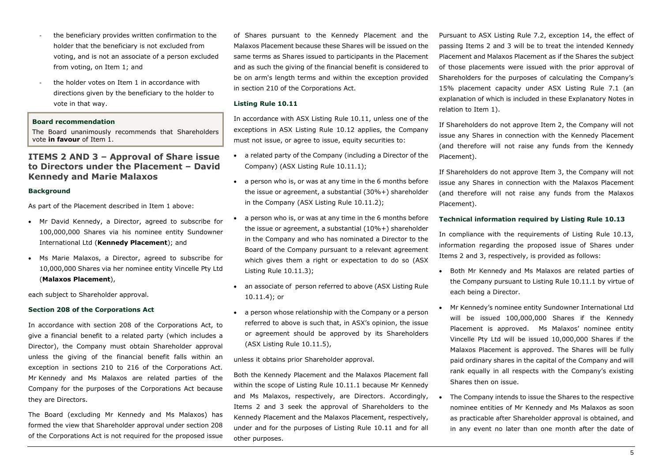- the beneficiary provides written confirmation to the holder that the beneficiary is not excluded from voting, and is not an associate of a person excluded from voting, on Item 1; and
- the holder votes on Item 1 in accordance with directions given by the beneficiary to the holder to vote in that way.

#### **Board recommendation**

The Board unanimously recommends that Shareholders vote **in favour** of Item 1.

# **ITEMS 2 AND 3 – Approval of Share issue to Directors under the Placement – David Kennedy and Marie Malaxos**

#### **Background**

As part of the Placement described in Item 1 above:

- Mr David Kennedy, a Director, agreed to subscribe for 100,000,000 Shares via his nominee entity Sundowner International Ltd (**Kennedy Placement**); and
- Ms Marie Malaxos, a Director, agreed to subscribe for 10,000,000 Shares via her nominee entity Vincelle Pty Ltd (**Malaxos Placement**),

each subject to Shareholder approval.

#### **Section 208 of the Corporations Act**

In accordance with section 208 of the Corporations Act, to give a financial benefit to a related party (which includes a Director), the Company must obtain Shareholder approval unless the giving of the financial benefit falls within an exception in sections 210 to 216 of the Corporations Act. Mr Kennedy and Ms Malaxos are related parties of the Company for the purposes of the Corporations Act because they are Directors.

The Board (excluding Mr Kennedy and Ms Malaxos) has formed the view that Shareholder approval under section 208 of the Corporations Act is not required for the proposed issue

of Shares pursuant to the Kennedy Placement and the Malaxos Placement because these Shares will be issued on the same terms as Shares issued to participants in the Placement and as such the giving of the financial benefit is considered to be on arm's length terms and within the exception provided in section 210 of the Corporations Act.

#### **Listing Rule 10.11**

In accordance with ASX Listing Rule 10.11, unless one of the exceptions in ASX Listing Rule 10.12 applies, the Company must not issue, or agree to issue, equity securities to:

- a related party of the Company (including a Director of the Company) (ASX Listing Rule 10.11.1);
- a person who is, or was at any time in the 6 months before the issue or agreement, a substantial (30%+) shareholder in the Company (ASX Listing Rule 10.11.2);
- a person who is, or was at any time in the 6 months before the issue or agreement, a substantial (10%+) shareholder in the Company and who has nominated a Director to the Board of the Company pursuant to a relevant agreement which gives them a right or expectation to do so (ASX Listing Rule 10.11.3);
- an associate of person referred to above (ASX Listing Rule 10.11.4); or
- a person whose relationship with the Company or a person referred to above is such that, in ASX's opinion, the issue or agreement should be approved by its Shareholders (ASX Listing Rule 10.11.5),

#### unless it obtains prior Shareholder approval.

Both the Kennedy Placement and the Malaxos Placement fall within the scope of Listing Rule 10.11.1 because Mr Kennedy and Ms Malaxos, respectively, are Directors. Accordingly, Items 2 and 3 seek the approval of Shareholders to the Kennedy Placement and the Malaxos Placement, respectively, under and for the purposes of Listing Rule 10.11 and for all other purposes.

Pursuant to ASX Listing Rule 7.2, exception 14, the effect of passing Items 2 and 3 will be to treat the intended Kennedy Placement and Malaxos Placement as if the Shares the subject of those placements were issued with the prior approval of Shareholders for the purposes of calculating the Company's 15% placement capacity under ASX Listing Rule 7.1 (an explanation of which is included in these Explanatory Notes in relation to Item 1).

If Shareholders do not approve Item 2, the Company will not issue any Shares in connection with the Kennedy Placement (and therefore will not raise any funds from the Kennedy Placement).

If Shareholders do not approve Item 3, the Company will not issue any Shares in connection with the Malaxos Placement (and therefore will not raise any funds from the Malaxos Placement).

#### **Technical information required by Listing Rule 10.13**

In compliance with the requirements of Listing Rule 10.13, information regarding the proposed issue of Shares under Items 2 and 3, respectively, is provided as follows:

- Both Mr Kennedy and Ms Malaxos are related parties of the Company pursuant to Listing Rule 10.11.1 by virtue of each being a Director.
- Mr Kennedy's nominee entity Sundowner International Ltd will be issued 100,000,000 Shares if the Kennedy Placement is approved. Ms Malaxos' nominee entity Vincelle Pty Ltd will be issued 10,000,000 Shares if the Malaxos Placement is approved. The Shares will be fully paid ordinary shares in the capital of the Company and will rank equally in all respects with the Company's existing Shares then on issue.
- The Company intends to issue the Shares to the respective nominee entities of Mr Kennedy and Ms Malaxos as soon as practicable after Shareholder approval is obtained, and in any event no later than one month after the date of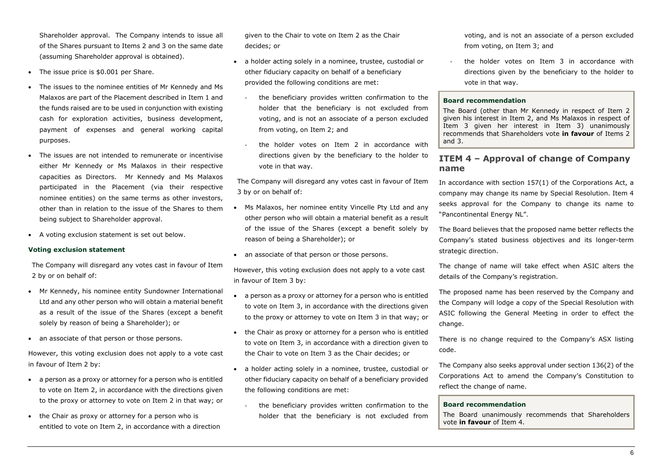Shareholder approval. The Company intends to issue all of the Shares pursuant to Items 2 and 3 on the same date (assuming Shareholder approval is obtained).

- The issue price is \$0.001 per Share.
- The issues to the nominee entities of Mr Kennedy and Ms Malaxos are part of the Placement described in Item 1 and the funds raised are to be used in conjunction with existing cash for exploration activities, business development, payment of expenses and general working capital purposes.
- The issues are not intended to remunerate or incentivise either Mr Kennedy or Ms Malaxos in their respective capacities as Directors. Mr Kennedy and Ms Malaxos participated in the Placement (via their respective nominee entities) on the same terms as other investors, other than in relation to the issue of the Shares to them being subject to Shareholder approval.
- A voting exclusion statement is set out below.

#### **Voting exclusion statement**

The Company will disregard any votes cast in favour of Item 2 by or on behalf of:

- Mr Kennedy, his nominee entity Sundowner International Ltd and any other person who will obtain a material benefit as a result of the issue of the Shares (except a benefit solely by reason of being a Shareholder); or
- an associate of that person or those persons.

However, this voting exclusion does not apply to a vote cast in favour of Item 2 by:

- a person as a proxy or attorney for a person who is entitled to vote on Item 2, in accordance with the directions given to the proxy or attorney to vote on Item 2 in that way; or
- the Chair as proxy or attorney for a person who is entitled to vote on Item 2, in accordance with a direction

given to the Chair to vote on Item 2 as the Chair decides; or

- a holder acting solely in a nominee, trustee, custodial or other fiduciary capacity on behalf of a beneficiary provided the following conditions are met:
	- the beneficiary provides written confirmation to the holder that the beneficiary is not excluded from voting, and is not an associate of a person excluded from voting, on Item 2; and
	- the holder votes on Item 2 in accordance with directions given by the beneficiary to the holder to vote in that way.

The Company will disregard any votes cast in favour of Item 3 by or on behalf of:

- Ms Malaxos, her nominee entity Vincelle Pty Ltd and any other person who will obtain a material benefit as a result of the issue of the Shares (except a benefit solely by reason of being a Shareholder); or
- an associate of that person or those persons.

However, this voting exclusion does not apply to a vote cast in favour of Item 3 by:

- a person as a proxy or attorney for a person who is entitled to vote on Item 3, in accordance with the directions given to the proxy or attorney to vote on Item 3 in that way; or
- the Chair as proxy or attorney for a person who is entitled to vote on Item 3, in accordance with a direction given to the Chair to vote on Item 3 as the Chair decides; or
- a holder acting solely in a nominee, trustee, custodial or other fiduciary capacity on behalf of a beneficiary provided the following conditions are met:
	- the beneficiary provides written confirmation to the holder that the beneficiary is not excluded from

voting, and is not an associate of a person excluded from voting, on Item 3; and

the holder votes on Item 3 in accordance with directions given by the beneficiary to the holder to vote in that way.

#### **Board recommendation**

The Board (other than Mr Kennedy in respect of Item 2 given his interest in Item 2, and Ms Malaxos in respect of Item 3 given her interest in Item 3) unanimously recommends that Shareholders vote **in favour** of Items 2 and 3.

# **ITEM 4 – Approval of change of Company name**

In accordance with section 157(1) of the Corporations Act, a company may change its name by Special Resolution. Item 4 seeks approval for the Company to change its name to "Pancontinental Energy NL".

The Board believes that the proposed name better reflects the Company's stated business objectives and its longer-term strategic direction.

The change of name will take effect when ASIC alters the details of the Company's registration.

The proposed name has been reserved by the Company and the Company will lodge a copy of the Special Resolution with ASIC following the General Meeting in order to effect the change.

There is no change required to the Company's ASX listing code.

The Company also seeks approval under section 136(2) of the Corporations Act to amend the Company's Constitution to reflect the change of name.

#### **Board recommendation**

The Board unanimously recommends that Shareholders vote **in favour** of Item 4.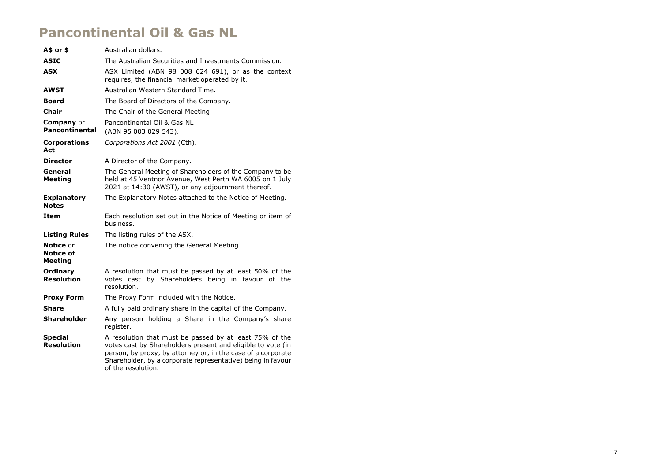# **Pancontinental Oil & Gas NL**

| A\$ or \$                                       | Australian dollars.                                                                                                                                                                                                                                                         |  |  |  |
|-------------------------------------------------|-----------------------------------------------------------------------------------------------------------------------------------------------------------------------------------------------------------------------------------------------------------------------------|--|--|--|
| <b>ASIC</b>                                     | The Australian Securities and Investments Commission.                                                                                                                                                                                                                       |  |  |  |
| <b>ASX</b>                                      | ASX Limited (ABN 98 008 624 691), or as the context<br>requires, the financial market operated by it.                                                                                                                                                                       |  |  |  |
| AWST                                            | Australian Western Standard Time.                                                                                                                                                                                                                                           |  |  |  |
| <b>Board</b>                                    | The Board of Directors of the Company.                                                                                                                                                                                                                                      |  |  |  |
| <b>Chair</b>                                    | The Chair of the General Meeting.                                                                                                                                                                                                                                           |  |  |  |
| <b>Company</b> or<br><b>Pancontinental</b>      | Pancontinental Oil & Gas NL<br>(ABN 95 003 029 543).                                                                                                                                                                                                                        |  |  |  |
| <b>Corporations</b><br>Act                      | Corporations Act 2001 (Cth).                                                                                                                                                                                                                                                |  |  |  |
| <b>Director</b>                                 | A Director of the Company.                                                                                                                                                                                                                                                  |  |  |  |
| General<br><b>Meeting</b>                       | The General Meeting of Shareholders of the Company to be<br>held at 45 Ventnor Avenue, West Perth WA 6005 on 1 July<br>2021 at 14:30 (AWST), or any adjournment thereof.                                                                                                    |  |  |  |
| <b>Explanatory</b><br><b>Notes</b>              | The Explanatory Notes attached to the Notice of Meeting.                                                                                                                                                                                                                    |  |  |  |
| Item                                            | Each resolution set out in the Notice of Meeting or item of<br>business.                                                                                                                                                                                                    |  |  |  |
| <b>Listing Rules</b>                            | The listing rules of the ASX.                                                                                                                                                                                                                                               |  |  |  |
| <b>Notice</b> or<br>Notice of<br><b>Meeting</b> | The notice convening the General Meeting.                                                                                                                                                                                                                                   |  |  |  |
| Ordinary<br><b>Resolution</b>                   | A resolution that must be passed by at least 50% of the<br>votes cast by Shareholders being in favour of the<br>resolution.                                                                                                                                                 |  |  |  |
| <b>Proxy Form</b>                               | The Proxy Form included with the Notice.                                                                                                                                                                                                                                    |  |  |  |
| <b>Share</b>                                    | A fully paid ordinary share in the capital of the Company.                                                                                                                                                                                                                  |  |  |  |
| <b>Shareholder</b>                              | Any person holding a Share in the Company's share<br>register.                                                                                                                                                                                                              |  |  |  |
| <b>Special</b><br><b>Resolution</b>             | A resolution that must be passed by at least 75% of the<br>votes cast by Shareholders present and eligible to vote (in<br>person, by proxy, by attorney or, in the case of a corporate<br>Shareholder, by a corporate representative) being in favour<br>of the resolution. |  |  |  |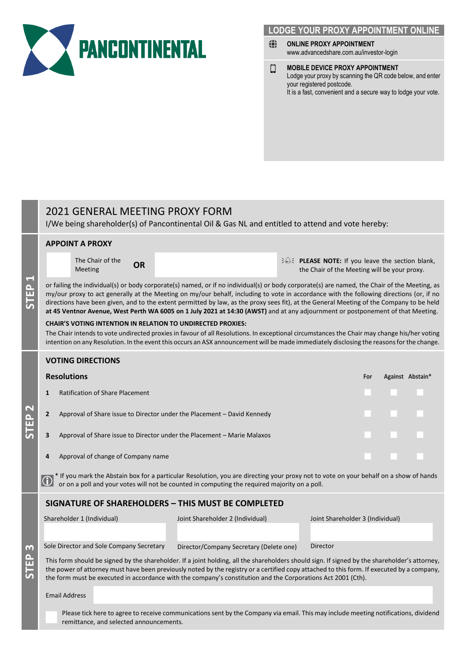

# **LODGE YOUR PROXY APPOINTMENT ONLINE**

- ⇔ **ONLINE PROXY APPOINTMENT** www.advancedshare.com.au/investor-login
- **MOBILE DEVICE PROXY APPOINTMENT** О Lodge your proxy by scanning the QR code below, and enter your registered postcode. It is a fast, convenient and a secure way to lodge your vote.

# 2021 GENERAL MEETING PROXY FORM

I/We being shareholder(s) of Pancontinental Oil & Gas NL and entitled to attend and vote hereby:

|                   | <b>APPOINT A PROXY</b>                                                                                                                                                                                                                                                                                                                                                                                                                                                                                                                                                                                                                                                                                                                                                                      |                                          |           |                                                                                                                                     |  |                                                                                              |     |  |                  |  |  |
|-------------------|---------------------------------------------------------------------------------------------------------------------------------------------------------------------------------------------------------------------------------------------------------------------------------------------------------------------------------------------------------------------------------------------------------------------------------------------------------------------------------------------------------------------------------------------------------------------------------------------------------------------------------------------------------------------------------------------------------------------------------------------------------------------------------------------|------------------------------------------|-----------|-------------------------------------------------------------------------------------------------------------------------------------|--|----------------------------------------------------------------------------------------------|-----|--|------------------|--|--|
| STEP <sub>1</sub> |                                                                                                                                                                                                                                                                                                                                                                                                                                                                                                                                                                                                                                                                                                                                                                                             | The Chair of the<br>Meeting              | <b>OR</b> |                                                                                                                                     |  | ELEASE NOTE: If you leave the section blank,<br>the Chair of the Meeting will be your proxy. |     |  |                  |  |  |
|                   | or failing the individual(s) or body corporate(s) named, or if no individual(s) or body corporate(s) are named, the Chair of the Meeting, as<br>my/our proxy to act generally at the Meeting on my/our behalf, including to vote in accordance with the following directions (or, if no<br>directions have been given, and to the extent permitted by law, as the proxy sees fit), at the General Meeting of the Company to be held<br>at 45 Ventnor Avenue, West Perth WA 6005 on 1 July 2021 at 14:30 (AWST) and at any adjournment or postponement of that Meeting.<br><b>CHAIR'S VOTING INTENTION IN RELATION TO UNDIRECTED PROXIES:</b><br>The Chair intends to vote undirected proxies in favour of all Resolutions. In exceptional circumstances the Chair may change his/her voting |                                          |           |                                                                                                                                     |  |                                                                                              |     |  |                  |  |  |
|                   | intention on any Resolution. In the event this occurs an ASX announcement will be made immediately disclosing the reasons for the change.                                                                                                                                                                                                                                                                                                                                                                                                                                                                                                                                                                                                                                                   |                                          |           |                                                                                                                                     |  |                                                                                              |     |  |                  |  |  |
| <b>STEP 2</b>     | <b>VOTING DIRECTIONS</b>                                                                                                                                                                                                                                                                                                                                                                                                                                                                                                                                                                                                                                                                                                                                                                    |                                          |           |                                                                                                                                     |  |                                                                                              |     |  |                  |  |  |
|                   | <b>Resolutions</b>                                                                                                                                                                                                                                                                                                                                                                                                                                                                                                                                                                                                                                                                                                                                                                          |                                          |           |                                                                                                                                     |  |                                                                                              | For |  | Against Abstain* |  |  |
|                   | <b>Ratification of Share Placement</b><br>1                                                                                                                                                                                                                                                                                                                                                                                                                                                                                                                                                                                                                                                                                                                                                 |                                          |           |                                                                                                                                     |  |                                                                                              |     |  |                  |  |  |
|                   | Approval of Share issue to Director under the Placement - David Kennedy<br>2                                                                                                                                                                                                                                                                                                                                                                                                                                                                                                                                                                                                                                                                                                                |                                          |           |                                                                                                                                     |  |                                                                                              |     |  |                  |  |  |
|                   | Approval of Share issue to Director under the Placement - Marie Malaxos<br>3                                                                                                                                                                                                                                                                                                                                                                                                                                                                                                                                                                                                                                                                                                                |                                          |           |                                                                                                                                     |  |                                                                                              |     |  |                  |  |  |
|                   | Approval of change of Company name<br>4                                                                                                                                                                                                                                                                                                                                                                                                                                                                                                                                                                                                                                                                                                                                                     |                                          |           |                                                                                                                                     |  |                                                                                              |     |  |                  |  |  |
|                   | * If you mark the Abstain box for a particular Resolution, you are directing your proxy not to vote on your behalf on a show of hands<br>$\bf{0}$<br>or on a poll and your votes will not be counted in computing the required majority on a poll.                                                                                                                                                                                                                                                                                                                                                                                                                                                                                                                                          |                                          |           |                                                                                                                                     |  |                                                                                              |     |  |                  |  |  |
|                   | <b>SIGNATURE OF SHAREHOLDERS - THIS MUST BE COMPLETED</b>                                                                                                                                                                                                                                                                                                                                                                                                                                                                                                                                                                                                                                                                                                                                   |                                          |           |                                                                                                                                     |  |                                                                                              |     |  |                  |  |  |
| m<br><b>STEP</b>  |                                                                                                                                                                                                                                                                                                                                                                                                                                                                                                                                                                                                                                                                                                                                                                                             | Shareholder 1 (Individual)               |           | Joint Shareholder 2 (Individual)                                                                                                    |  | Joint Shareholder 3 (Individual)                                                             |     |  |                  |  |  |
|                   |                                                                                                                                                                                                                                                                                                                                                                                                                                                                                                                                                                                                                                                                                                                                                                                             | Sole Director and Sole Company Secretary |           | Director/Company Secretary (Delete one)                                                                                             |  | Director                                                                                     |     |  |                  |  |  |
|                   | This form should be signed by the shareholder. If a joint holding, all the shareholders should sign. If signed by the shareholder's attorney,<br>the power of attorney must have been previously noted by the registry or a certified copy attached to this form. If executed by a company,<br>the form must be executed in accordance with the company's constitution and the Corporations Act 2001 (Cth).                                                                                                                                                                                                                                                                                                                                                                                 |                                          |           |                                                                                                                                     |  |                                                                                              |     |  |                  |  |  |
|                   | <b>Email Address</b>                                                                                                                                                                                                                                                                                                                                                                                                                                                                                                                                                                                                                                                                                                                                                                        |                                          |           |                                                                                                                                     |  |                                                                                              |     |  |                  |  |  |
|                   |                                                                                                                                                                                                                                                                                                                                                                                                                                                                                                                                                                                                                                                                                                                                                                                             | remittance, and selected announcements.  |           | Please tick here to agree to receive communications sent by the Company via email. This may include meeting notifications, dividend |  |                                                                                              |     |  |                  |  |  |